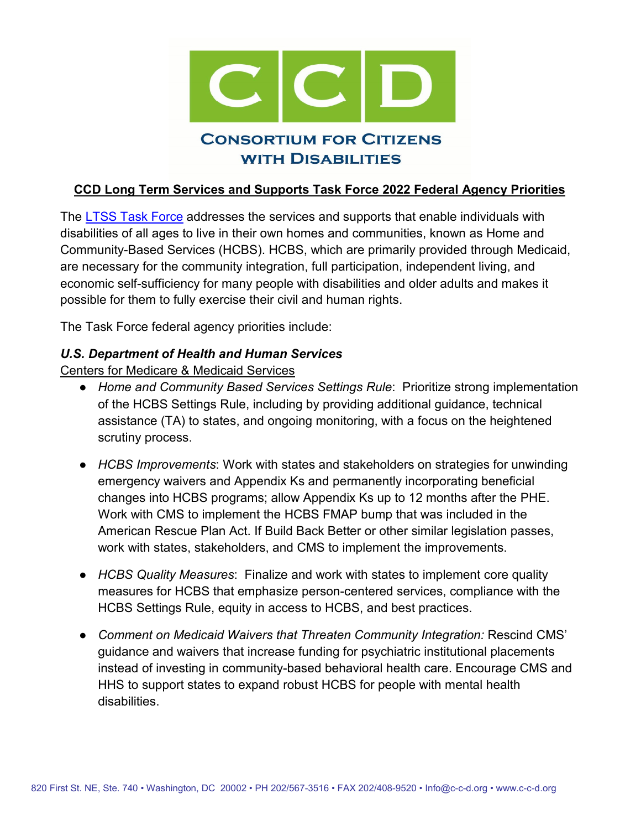

#### **CCD Long Term Services and Supports Task Force 2022 Federal Agency Priorities**

The [LTSS Task Force](http://www.c-c-d.org/rubriques.php?rub=taskforce.php&id_task=9) addresses the services and supports that enable individuals with disabilities of all ages to live in their own homes and communities, known as Home and Community-Based Services (HCBS). HCBS, which are primarily provided through Medicaid, are necessary for the community integration, full participation, independent living, and economic self-sufficiency for many people with disabilities and older adults and makes it possible for them to fully exercise their civil and human rights.

The Task Force federal agency priorities include:

#### *U.S. Department of Health and Human Services*

Centers for Medicare & Medicaid Services

- *Home and Community Based Services Settings Rule*: Prioritize strong implementation of the HCBS Settings Rule, including by providing additional guidance, technical assistance (TA) to states, and ongoing monitoring, with a focus on the heightened scrutiny process.
- *HCBS Improvements*: Work with states and stakeholders on strategies for unwinding emergency waivers and Appendix Ks and permanently incorporating beneficial changes into HCBS programs; allow Appendix Ks up to 12 months after the PHE. Work with CMS to implement the HCBS FMAP bump that was included in the American Rescue Plan Act. If Build Back Better or other similar legislation passes, work with states, stakeholders, and CMS to implement the improvements.
- *HCBS Quality Measures*: Finalize and work with states to implement core quality measures for HCBS that emphasize person-centered services, compliance with the HCBS Settings Rule, equity in access to HCBS, and best practices.
- *Comment on Medicaid Waivers that Threaten Community Integration:* Rescind CMS' guidance and waivers that increase funding for psychiatric institutional placements instead of investing in community-based behavioral health care. Encourage CMS and HHS to support states to expand robust HCBS for people with mental health disabilities.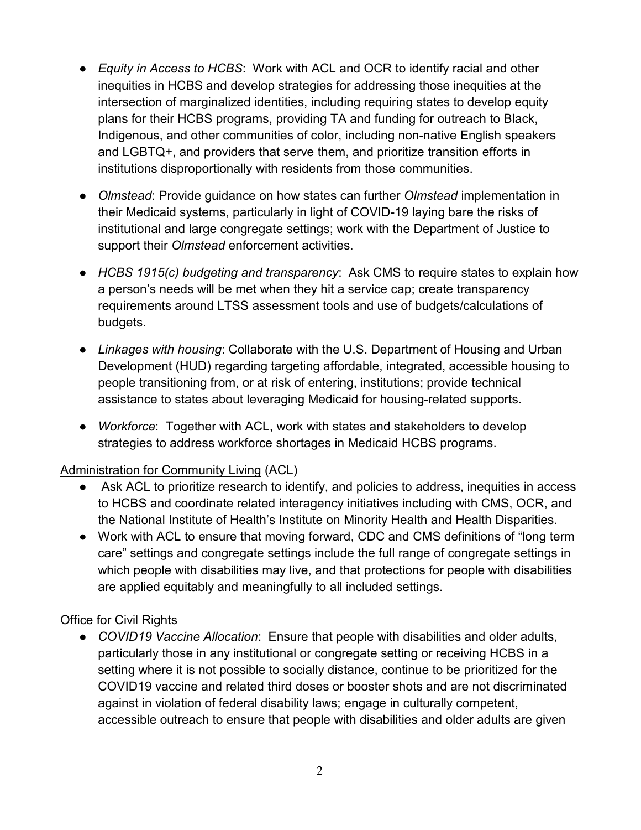- *Equity in Access to HCBS*: Work with ACL and OCR to identify racial and other inequities in HCBS and develop strategies for addressing those inequities at the intersection of marginalized identities, including requiring states to develop equity plans for their HCBS programs, providing TA and funding for outreach to Black, Indigenous, and other communities of color, including non-native English speakers and LGBTQ+, and providers that serve them, and prioritize transition efforts in institutions disproportionally with residents from those communities.
- *Olmstead*: Provide guidance on how states can further *Olmstead* implementation in their Medicaid systems, particularly in light of COVID-19 laying bare the risks of institutional and large congregate settings; work with the Department of Justice to support their *Olmstead* enforcement activities.
- *HCBS 1915(c) budgeting and transparency*: Ask CMS to require states to explain how a person's needs will be met when they hit a service cap; create transparency requirements around LTSS assessment tools and use of budgets/calculations of budgets.
- *Linkages with housing*: Collaborate with the U.S. Department of Housing and Urban Development (HUD) regarding targeting affordable, integrated, accessible housing to people transitioning from, or at risk of entering, institutions; provide technical assistance to states about leveraging Medicaid for housing-related supports.
- *Workforce*: Together with ACL, work with states and stakeholders to develop strategies to address workforce shortages in Medicaid HCBS programs.

# Administration for Community Living (ACL)

- Ask ACL to prioritize research to identify, and policies to address, inequities in access to HCBS and coordinate related interagency initiatives including with CMS, OCR, and the National Institute of Health's Institute on Minority Health and Health Disparities.
- Work with ACL to ensure that moving forward, CDC and CMS definitions of "long term care" settings and congregate settings include the full range of congregate settings in which people with disabilities may live, and that protections for people with disabilities are applied equitably and meaningfully to all included settings.

# Office for Civil Rights

● *COVID19 Vaccine Allocation*:Ensure that people with disabilities and older adults, particularly those in any institutional or congregate setting or receiving HCBS in a setting where it is not possible to socially distance, continue to be prioritized for the COVID19 vaccine and related third doses or booster shots and are not discriminated against in violation of federal disability laws; engage in culturally competent, accessible outreach to ensure that people with disabilities and older adults are given